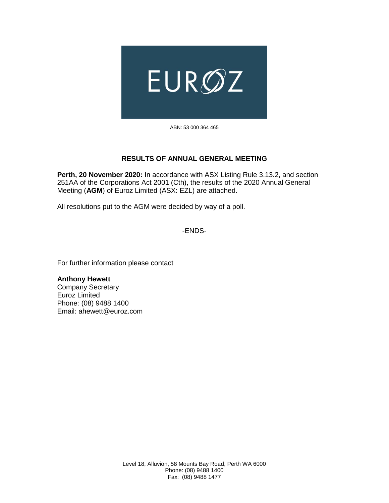

ABN: 53 000 364 465

## **RESULTS OF ANNUAL GENERAL MEETING**

**Perth, 20 November 2020:** In accordance with ASX Listing Rule 3.13.2, and section 251AA of the Corporations Act 2001 (Cth), the results of the 2020 Annual General Meeting (**AGM**) of Euroz Limited (ASX: EZL) are attached.

All resolutions put to the AGM were decided by way of a poll.

-ENDS-

For further information please contact

**Anthony Hewett** Company Secretary Euroz Limited Phone: (08) 9488 1400 Email: ahewett@euroz.com